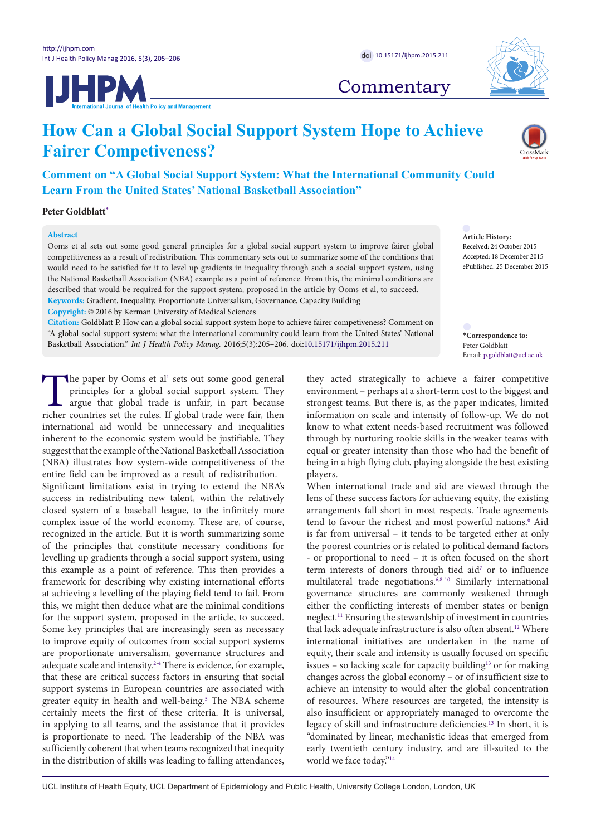



## **Commentary**

# **How Can a Global Social Support System Hope to Achieve Fairer Competiveness?**

**Comment on "A Global Social Support System: What the International Community Could Learn From the United States' National Basketball Association"**

**Peter Goldblatt[\\*](#page-0-0)**

### **Abstract**

Ooms et al sets out some good general principles for a global social support system to improve fairer global competitiveness as a result of redistribution. This commentary sets out to summarize some of the conditions that would need to be satisfied for it to level up gradients in inequality through such a social support system, using the National Basketball Association (NBA) example as a point of reference. From this, the minimal conditions are described that would be required for the support system, proposed in the article by Ooms et al, to succeed. **Keywords:** Gradient, Inequality, Proportionate Universalism, Governance, Capacity Building **Copyright:** © 2016 by Kerman University of Medical Sciences

**Citation:** Goldblatt P. How can a global social support system hope to achieve fairer competiveness? Comment on "A global social support system: what the international community could learn from the United States' National Basketball Association." *Int J Health Policy Manag.* 2016;5(3):205–206. doi[:10.15171/ijhpm.2015.211](http://dx.doi.org/10.15171/ijhpm.2015.211)

**Article History:** Received: 24 October 2015 Accepted: 18 December 2015 ePublished: 25 December 2015

<span id="page-0-0"></span>**\*Correspondence to:** Peter Goldblatt Email: p.goldblatt@ucl.ac.uk

The paper by Ooms et al<sup>[1](#page-1-0)</sup> sets out some good general principles for a global social support system. They argue that global trade is unfair, in part because richer countries set the rules. If global trade were fair, then principles for a global social support system. They argue that global trade is unfair, in part because richer countries set the rules. If global trade were fair, then international aid would be unnecessary and inequalities inherent to the economic system would be justifiable. They suggest that the example of the National Basketball Association (NBA) illustrates how system-wide competitiveness of the entire field can be improved as a result of redistribution. Significant limitations exist in trying to extend the NBA's success in redistributing new talent, within the relatively closed system of a baseball league, to the infinitely more complex issue of the world economy. These are, of course, recognized in the article. But it is worth summarizing some of the principles that constitute necessary conditions for levelling up gradients through a social support system, using this example as a point of reference. This then provides a framework for describing why existing international efforts at achieving a levelling of the playing field tend to fail. From this, we might then deduce what are the minimal conditions for the support system, proposed in the article, to succeed. Some key principles that are increasingly seen as necessary to improve equity of outcomes from social support systems are proportionate universalism, governance structures and adequate scale and intensity.<sup>[2](#page-1-1)[-4](#page-1-2)</sup> There is evidence, for example, that these are critical success factors in ensuring that social support systems in European countries are associated with greater equity in health and well-being[.5](#page-1-3) The NBA scheme certainly meets the first of these criteria. It is universal, in applying to all teams, and the assistance that it provides is proportionate to need. The leadership of the NBA was sufficiently coherent that when teams recognized that inequity in the distribution of skills was leading to falling attendances,

they acted strategically to achieve a fairer competitive environment – perhaps at a short-term cost to the biggest and strongest teams. But there is, as the paper indicates, limited information on scale and intensity of follow-up. We do not know to what extent needs-based recruitment was followed through by nurturing rookie skills in the weaker teams with equal or greater intensity than those who had the benefit of being in a high flying club, playing alongside the best existing players.

When international trade and aid are viewed through the lens of these success factors for achieving equity, the existing arrangements fall short in most respects. Trade agreements tend to favour the richest and most powerful nations.<sup>[6](#page-1-4)</sup> Aid is far from universal – it tends to be targeted either at only the poorest countries or is related to political demand factors - or proportional to need – it is often focused on the short term interests of donors through tied aid<sup>7</sup> or to influence multilateral trade negotiations.[6,](#page-1-4)[8-](#page-1-6)[10](#page-1-7) Similarly international governance structures are commonly weakened through either the conflicting interests of member states or benign neglect.[11](#page-1-8) Ensuring the stewardship of investment in countries that lack adequate infrastructure is also often absent.<sup>12</sup> Where international initiatives are undertaken in the name of equity, their scale and intensity is usually focused on specific issues – so lacking scale for capacity building<sup>13</sup> or for making changes across the global economy – or of insufficient size to achieve an intensity to would alter the global concentration of resources. Where resources are targeted, the intensity is also insufficient or appropriately managed to overcome the legacy of skill and infrastructure deficiencies[.13](#page-1-10) In short, it is "dominated by linear, mechanistic ideas that emerged from early twentieth century industry, and are ill-suited to the world we face today.["14](#page-1-11)